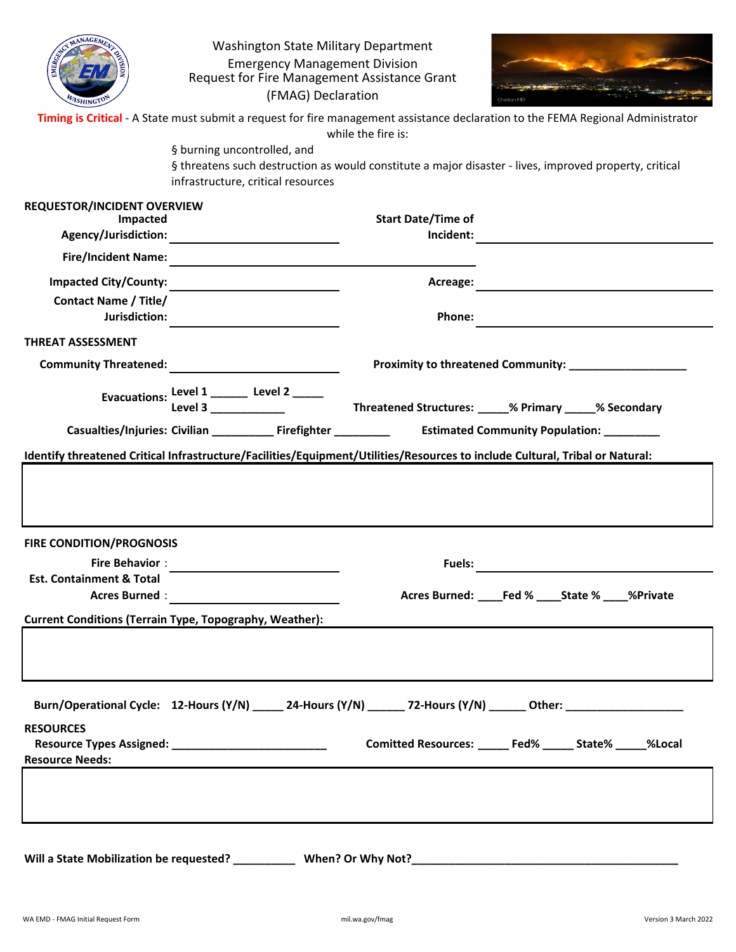| ASHINGT <sup>C</sup>                           | Washington State Military Department<br><b>Emergency Management Division</b><br>Request for Fire Management Assistance Grant<br>(FMAG) Declaration |                           | Timing is Critical - A State must submit a request for fire management assistance declaration to the FEMA Regional Administrator |
|------------------------------------------------|----------------------------------------------------------------------------------------------------------------------------------------------------|---------------------------|----------------------------------------------------------------------------------------------------------------------------------|
|                                                | § burning uncontrolled, and                                                                                                                        | while the fire is:        |                                                                                                                                  |
|                                                | infrastructure, critical resources                                                                                                                 |                           | § threatens such destruction as would constitute a major disaster - lives, improved property, critical                           |
| <b>REQUESTOR/INCIDENT OVERVIEW</b><br>Impacted |                                                                                                                                                    | <b>Start Date/Time of</b> |                                                                                                                                  |
|                                                |                                                                                                                                                    | Incident:                 |                                                                                                                                  |
|                                                |                                                                                                                                                    |                           |                                                                                                                                  |
| <b>Impacted City/County:</b>                   |                                                                                                                                                    | Acreage:                  | <u> 1989 - John Stein, mars and de Brandenberg and de Brandenberg and de Brandenberg and de Brandenberg and de Br</u>            |
| <b>Contact Name / Title/</b>                   |                                                                                                                                                    |                           |                                                                                                                                  |
| Jurisdiction:                                  |                                                                                                                                                    | Phone:                    |                                                                                                                                  |
| <b>THREAT ASSESSMENT</b>                       |                                                                                                                                                    |                           |                                                                                                                                  |
|                                                |                                                                                                                                                    |                           |                                                                                                                                  |
|                                                |                                                                                                                                                    |                           |                                                                                                                                  |
|                                                |                                                                                                                                                    |                           | Casualties/Injuries: Civilian ______________Firefighter _________________________ Estimated Community Population: ___________    |
|                                                | Identify threatened Critical Infrastructure/Facilities/Equipment/Utilities/Resources to include Cultural, Tribal or Natural:                       |                           |                                                                                                                                  |
| <b>FIRE CONDITION/PROGNOSIS</b>                |                                                                                                                                                    |                           |                                                                                                                                  |
| <b>Fire Behavior:</b>                          |                                                                                                                                                    | <b>Fuels:</b>             |                                                                                                                                  |
| <b>Est. Containment &amp; Total</b>            |                                                                                                                                                    |                           |                                                                                                                                  |
| <b>Acres Burned:</b>                           | <u> 1980 - Jan Barat, prima a posta</u>                                                                                                            |                           | Acres Burned: ____Fed % ____State % ____%Private                                                                                 |
|                                                | <b>Current Conditions (Terrain Type, Topography, Weather):</b>                                                                                     |                           |                                                                                                                                  |
|                                                |                                                                                                                                                    |                           |                                                                                                                                  |
| <b>RESOURCES</b>                               |                                                                                                                                                    |                           | Burn/Operational Cycle: 12-Hours (Y/N) _____ 24-Hours (Y/N) _____ 72-Hours (Y/N) ______ Other: _______________                   |
| <b>Resource Needs:</b>                         |                                                                                                                                                    |                           | Comitted Resources: _____ Fed% _____ State% _____%Local                                                                          |
|                                                |                                                                                                                                                    |                           |                                                                                                                                  |
|                                                |                                                                                                                                                    |                           |                                                                                                                                  |